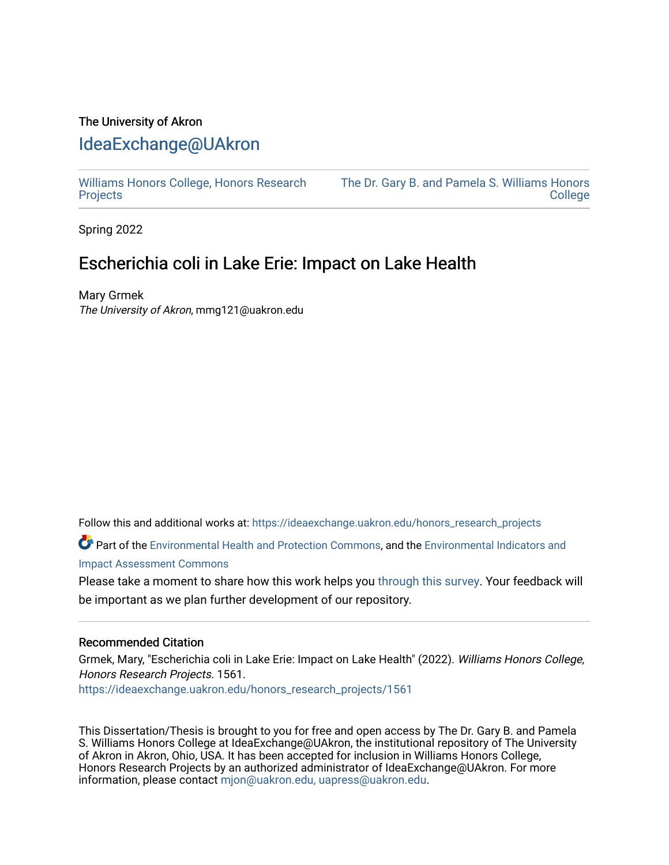## The University of Akron [IdeaExchange@UAkron](https://ideaexchange.uakron.edu/)

[Williams Honors College, Honors Research](https://ideaexchange.uakron.edu/honors_research_projects)  **[Projects](https://ideaexchange.uakron.edu/honors_research_projects)** 

[The Dr. Gary B. and Pamela S. Williams Honors](https://ideaexchange.uakron.edu/honorscollege_ideas)  **College** 

Spring 2022

# Escherichia coli in Lake Erie: Impact on Lake Health

Mary Grmek The University of Akron, mmg121@uakron.edu

Follow this and additional works at: [https://ideaexchange.uakron.edu/honors\\_research\\_projects](https://ideaexchange.uakron.edu/honors_research_projects?utm_source=ideaexchange.uakron.edu%2Fhonors_research_projects%2F1561&utm_medium=PDF&utm_campaign=PDFCoverPages) 

Part of the [Environmental Health and Protection Commons,](http://network.bepress.com/hgg/discipline/172?utm_source=ideaexchange.uakron.edu%2Fhonors_research_projects%2F1561&utm_medium=PDF&utm_campaign=PDFCoverPages) and the [Environmental Indicators and](http://network.bepress.com/hgg/discipline/1015?utm_source=ideaexchange.uakron.edu%2Fhonors_research_projects%2F1561&utm_medium=PDF&utm_campaign=PDFCoverPages) [Impact Assessment Commons](http://network.bepress.com/hgg/discipline/1015?utm_source=ideaexchange.uakron.edu%2Fhonors_research_projects%2F1561&utm_medium=PDF&utm_campaign=PDFCoverPages)

Please take a moment to share how this work helps you [through this survey](http://survey.az1.qualtrics.com/SE/?SID=SV_eEVH54oiCbOw05f&URL=https://ideaexchange.uakron.edu/honors_research_projects/1561). Your feedback will be important as we plan further development of our repository.

#### Recommended Citation

Grmek, Mary, "Escherichia coli in Lake Erie: Impact on Lake Health" (2022). Williams Honors College, Honors Research Projects. 1561.

[https://ideaexchange.uakron.edu/honors\\_research\\_projects/1561](https://ideaexchange.uakron.edu/honors_research_projects/1561?utm_source=ideaexchange.uakron.edu%2Fhonors_research_projects%2F1561&utm_medium=PDF&utm_campaign=PDFCoverPages) 

This Dissertation/Thesis is brought to you for free and open access by The Dr. Gary B. and Pamela S. Williams Honors College at IdeaExchange@UAkron, the institutional repository of The University of Akron in Akron, Ohio, USA. It has been accepted for inclusion in Williams Honors College, Honors Research Projects by an authorized administrator of IdeaExchange@UAkron. For more information, please contact [mjon@uakron.edu, uapress@uakron.edu.](mailto:mjon@uakron.edu,%20uapress@uakron.edu)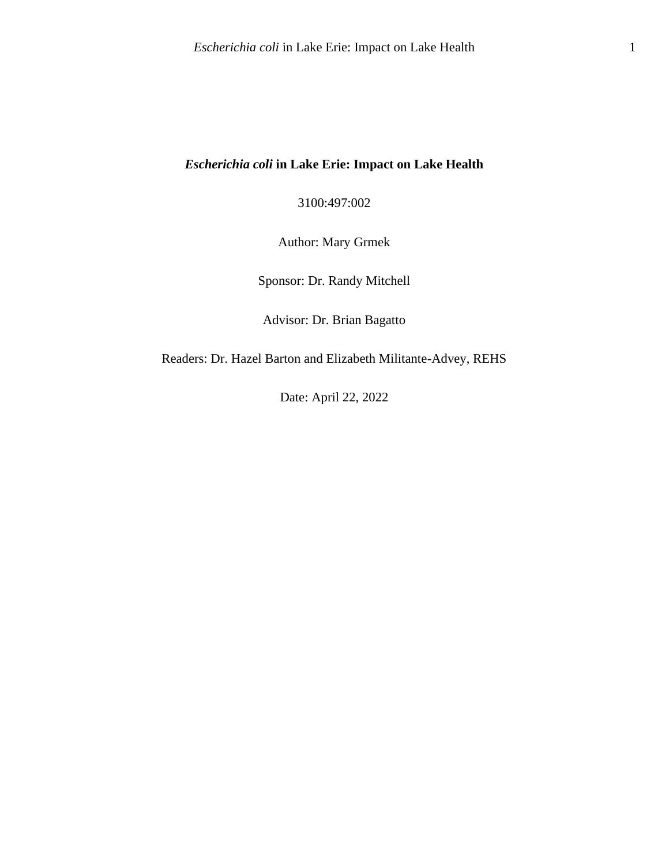### *Escherichia coli* **in Lake Erie: Impact on Lake Health**

3100:497:002

Author: Mary Grmek

Sponsor: Dr. Randy Mitchell

Advisor: Dr. Brian Bagatto

Readers: Dr. Hazel Barton and Elizabeth Militante-Advey, REHS

Date: April 22, 2022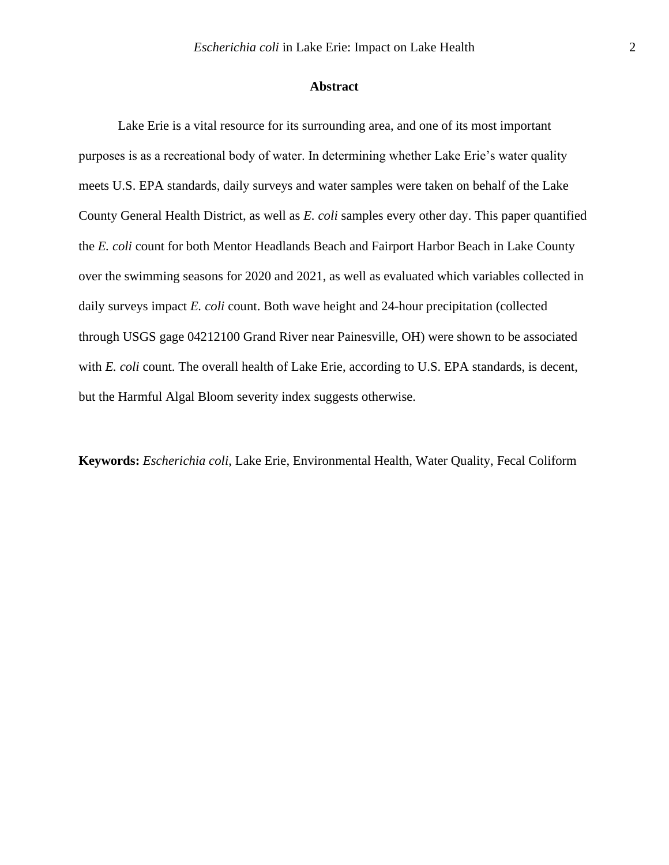#### **Abstract**

Lake Erie is a vital resource for its surrounding area, and one of its most important purposes is as a recreational body of water. In determining whether Lake Erie's water quality meets U.S. EPA standards, daily surveys and water samples were taken on behalf of the Lake County General Health District, as well as *E. coli* samples every other day. This paper quantified the *E. coli* count for both Mentor Headlands Beach and Fairport Harbor Beach in Lake County over the swimming seasons for 2020 and 2021, as well as evaluated which variables collected in daily surveys impact *E. coli* count. Both wave height and 24-hour precipitation (collected through USGS gage 04212100 Grand River near Painesville, OH) were shown to be associated with *E. coli* count. The overall health of Lake Erie, according to U.S. EPA standards, is decent, but the Harmful Algal Bloom severity index suggests otherwise.

**Keywords:** *Escherichia coli*, Lake Erie, Environmental Health, Water Quality, Fecal Coliform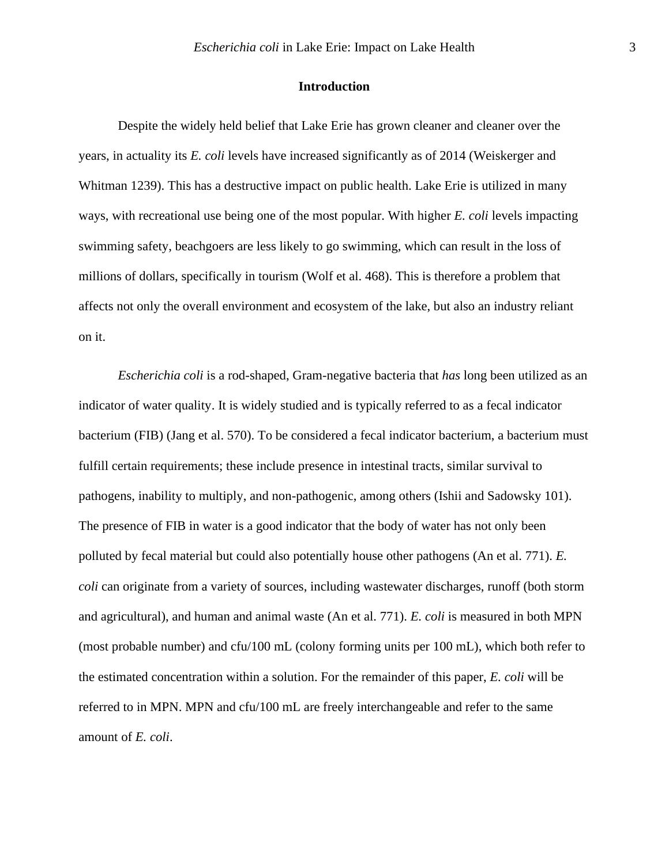#### **Introduction**

Despite the widely held belief that Lake Erie has grown cleaner and cleaner over the years, in actuality its *E. coli* levels have increased significantly as of 2014 (Weiskerger and Whitman 1239). This has a destructive impact on public health. Lake Erie is utilized in many ways, with recreational use being one of the most popular. With higher *E. coli* levels impacting swimming safety, beachgoers are less likely to go swimming, which can result in the loss of millions of dollars, specifically in tourism (Wolf et al. 468). This is therefore a problem that affects not only the overall environment and ecosystem of the lake, but also an industry reliant on it.

*Escherichia coli* is a rod-shaped, Gram-negative bacteria that *has* long been utilized as an indicator of water quality. It is widely studied and is typically referred to as a fecal indicator bacterium (FIB) (Jang et al. 570). To be considered a fecal indicator bacterium, a bacterium must fulfill certain requirements; these include presence in intestinal tracts, similar survival to pathogens, inability to multiply, and non-pathogenic, among others (Ishii and Sadowsky 101). The presence of FIB in water is a good indicator that the body of water has not only been polluted by fecal material but could also potentially house other pathogens (An et al. 771). *E. coli* can originate from a variety of sources, including wastewater discharges, runoff (both storm and agricultural), and human and animal waste (An et al. 771). *E. coli* is measured in both MPN (most probable number) and cfu/100 mL (colony forming units per 100 mL), which both refer to the estimated concentration within a solution. For the remainder of this paper, *E. coli* will be referred to in MPN. MPN and cfu/100 mL are freely interchangeable and refer to the same amount of *E. coli*.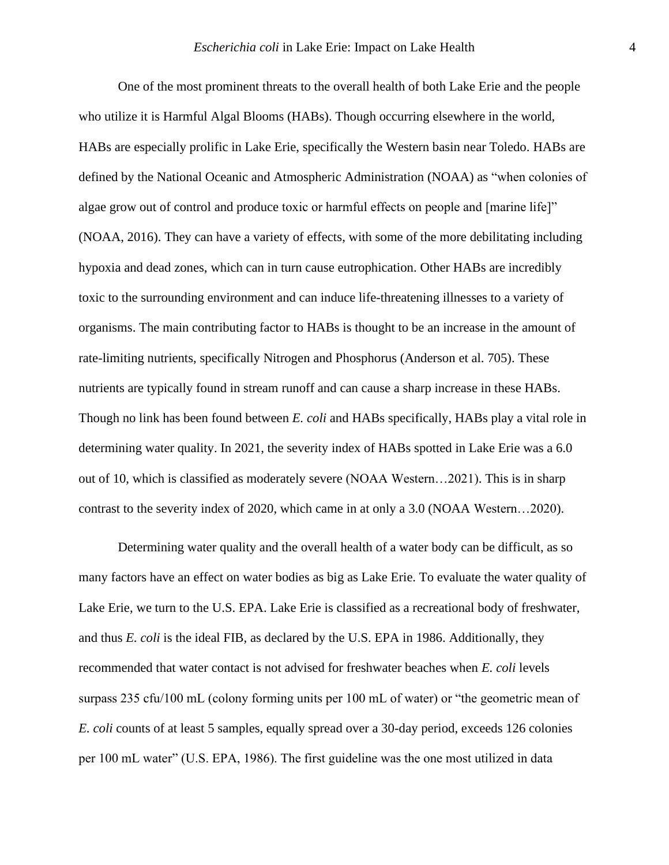One of the most prominent threats to the overall health of both Lake Erie and the people who utilize it is Harmful Algal Blooms (HABs). Though occurring elsewhere in the world, HABs are especially prolific in Lake Erie, specifically the Western basin near Toledo. HABs are defined by the National Oceanic and Atmospheric Administration (NOAA) as "when colonies of algae grow out of control and produce toxic or harmful effects on people and [marine life]" (NOAA, 2016). They can have a variety of effects, with some of the more debilitating including hypoxia and dead zones, which can in turn cause eutrophication. Other HABs are incredibly toxic to the surrounding environment and can induce life-threatening illnesses to a variety of organisms. The main contributing factor to HABs is thought to be an increase in the amount of rate-limiting nutrients, specifically Nitrogen and Phosphorus (Anderson et al. 705). These nutrients are typically found in stream runoff and can cause a sharp increase in these HABs. Though no link has been found between *E. coli* and HABs specifically, HABs play a vital role in determining water quality. In 2021, the severity index of HABs spotted in Lake Erie was a 6.0 out of 10, which is classified as moderately severe (NOAA Western…2021). This is in sharp contrast to the severity index of 2020, which came in at only a 3.0 (NOAA Western…2020).

Determining water quality and the overall health of a water body can be difficult, as so many factors have an effect on water bodies as big as Lake Erie. To evaluate the water quality of Lake Erie, we turn to the U.S. EPA. Lake Erie is classified as a recreational body of freshwater, and thus *E. coli* is the ideal FIB, as declared by the U.S. EPA in 1986. Additionally, they recommended that water contact is not advised for freshwater beaches when *E. coli* levels surpass 235 cfu/100 mL (colony forming units per 100 mL of water) or "the geometric mean of *E. coli* counts of at least 5 samples, equally spread over a 30-day period, exceeds 126 colonies per 100 mL water" (U.S. EPA, 1986). The first guideline was the one most utilized in data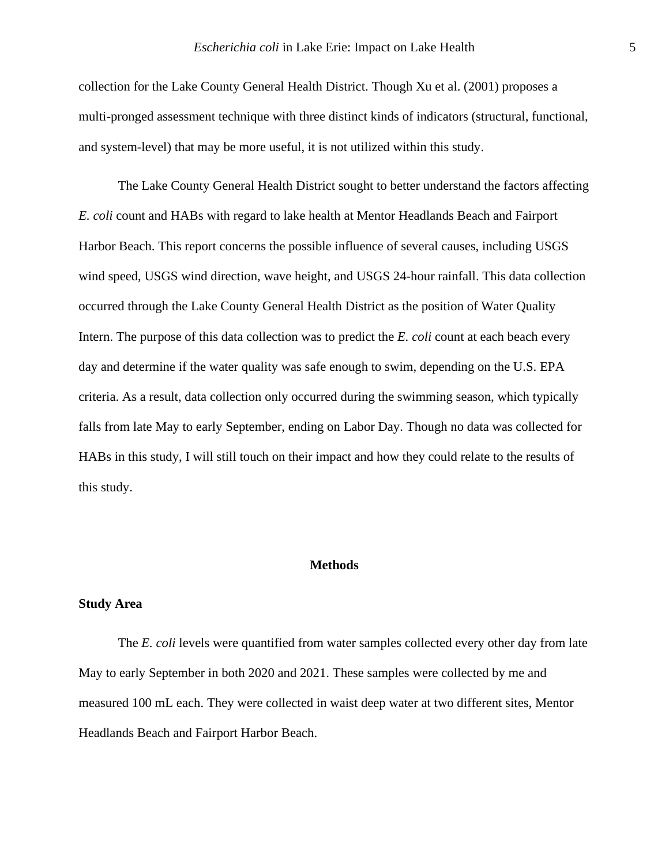collection for the Lake County General Health District. Though Xu et al. (2001) proposes a multi-pronged assessment technique with three distinct kinds of indicators (structural, functional, and system-level) that may be more useful, it is not utilized within this study.

The Lake County General Health District sought to better understand the factors affecting *E. coli* count and HABs with regard to lake health at Mentor Headlands Beach and Fairport Harbor Beach. This report concerns the possible influence of several causes, including USGS wind speed, USGS wind direction, wave height, and USGS 24-hour rainfall. This data collection occurred through the Lake County General Health District as the position of Water Quality Intern. The purpose of this data collection was to predict the *E. coli* count at each beach every day and determine if the water quality was safe enough to swim, depending on the U.S. EPA criteria. As a result, data collection only occurred during the swimming season, which typically falls from late May to early September, ending on Labor Day. Though no data was collected for HABs in this study, I will still touch on their impact and how they could relate to the results of this study.

#### **Methods**

#### **Study Area**

The *E. coli* levels were quantified from water samples collected every other day from late May to early September in both 2020 and 2021. These samples were collected by me and measured 100 mL each. They were collected in waist deep water at two different sites, Mentor Headlands Beach and Fairport Harbor Beach.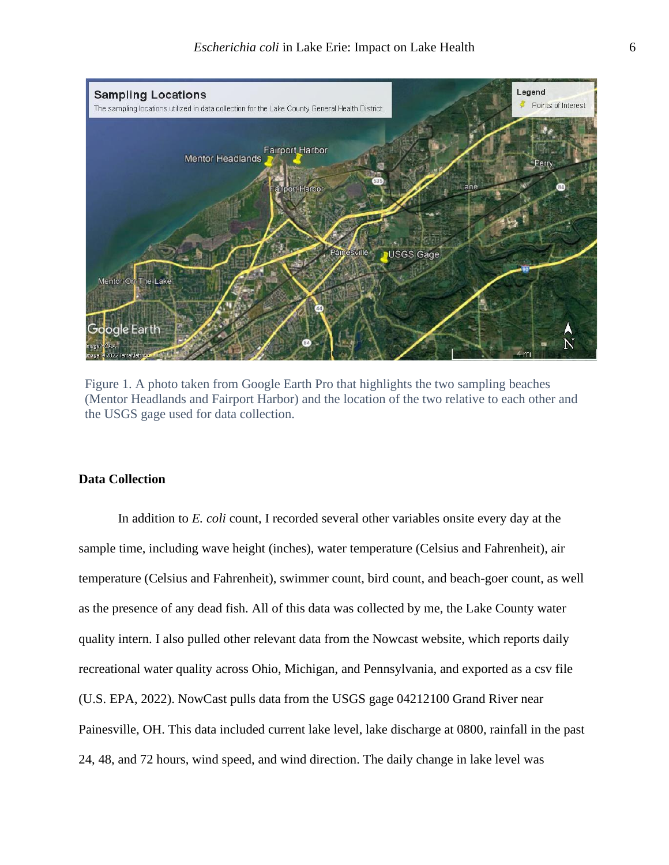

Figure 1. A photo taken from Google Earth Pro that highlights the two sampling beaches (Mentor Headlands and Fairport Harbor) and the location of the two relative to each other and the USGS gage used for data collection.

#### **Data Collection**

In addition to *E. coli* count, I recorded several other variables onsite every day at the sample time, including wave height (inches), water temperature (Celsius and Fahrenheit), air temperature (Celsius and Fahrenheit), swimmer count, bird count, and beach-goer count, as well as the presence of any dead fish. All of this data was collected by me, the Lake County water quality intern. I also pulled other relevant data from the Nowcast website, which reports daily recreational water quality across Ohio, Michigan, and Pennsylvania, and exported as a csv file (U.S. EPA, 2022). NowCast pulls data from the USGS gage 04212100 Grand River near Painesville, OH. This data included current lake level, lake discharge at 0800, rainfall in the past 24, 48, and 72 hours, wind speed, and wind direction. The daily change in lake level was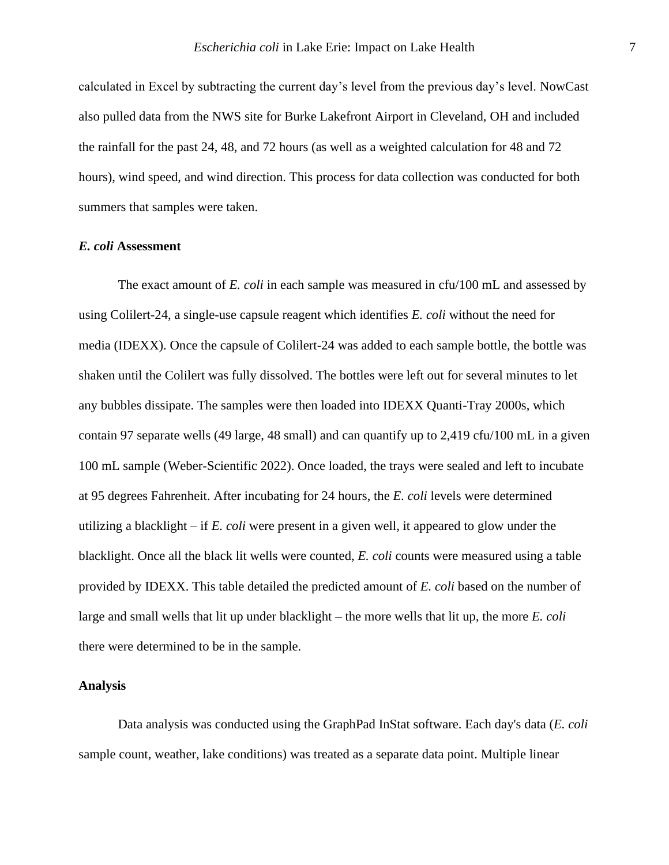calculated in Excel by subtracting the current day's level from the previous day's level. NowCast also pulled data from the NWS site for Burke Lakefront Airport in Cleveland, OH and included the rainfall for the past 24, 48, and 72 hours (as well as a weighted calculation for 48 and 72 hours), wind speed, and wind direction. This process for data collection was conducted for both summers that samples were taken.

#### *E. coli* **Assessment**

The exact amount of *E. coli* in each sample was measured in cfu/100 mL and assessed by using Colilert-24, a single-use capsule reagent which identifies *E. coli* without the need for media (IDEXX). Once the capsule of Colilert-24 was added to each sample bottle, the bottle was shaken until the Colilert was fully dissolved. The bottles were left out for several minutes to let any bubbles dissipate. The samples were then loaded into IDEXX Quanti-Tray 2000s, which contain 97 separate wells (49 large, 48 small) and can quantify up to 2,419 cfu/100 mL in a given 100 mL sample (Weber-Scientific 2022). Once loaded, the trays were sealed and left to incubate at 95 degrees Fahrenheit. After incubating for 24 hours, the *E. coli* levels were determined utilizing a blacklight – if *E. coli* were present in a given well, it appeared to glow under the blacklight. Once all the black lit wells were counted, *E. coli* counts were measured using a table provided by IDEXX. This table detailed the predicted amount of *E. coli* based on the number of large and small wells that lit up under blacklight – the more wells that lit up, the more *E. coli* there were determined to be in the sample.

#### **Analysis**

Data analysis was conducted using the GraphPad InStat software. Each day's data (*E. coli* sample count, weather, lake conditions) was treated as a separate data point. Multiple linear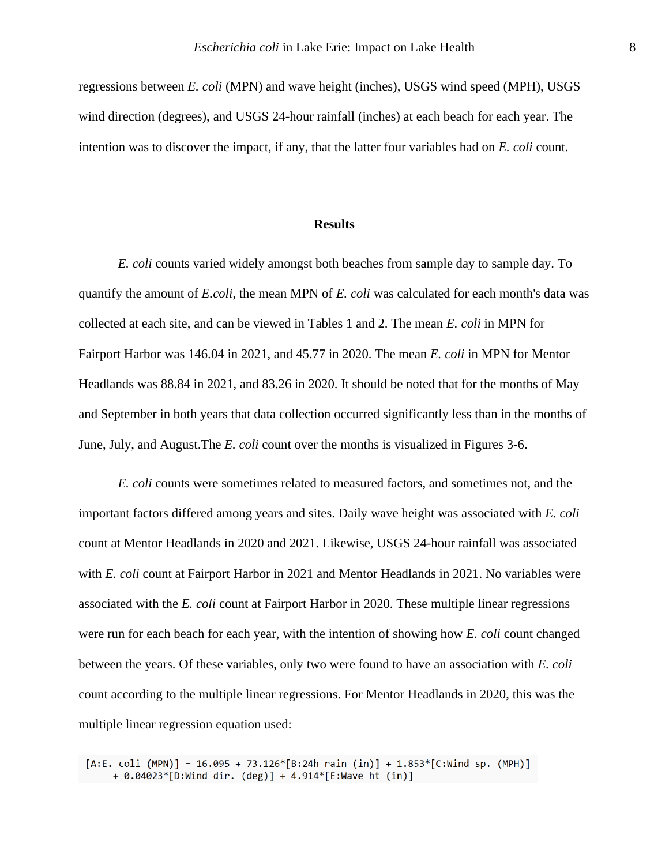regressions between *E. coli* (MPN) and wave height (inches), USGS wind speed (MPH), USGS wind direction (degrees), and USGS 24-hour rainfall (inches) at each beach for each year. The intention was to discover the impact, if any, that the latter four variables had on *E. coli* count.

#### **Results**

*E. coli* counts varied widely amongst both beaches from sample day to sample day. To quantify the amount of *E.coli*, the mean MPN of *E. coli* was calculated for each month's data was collected at each site, and can be viewed in Tables 1 and 2. The mean *E. coli* in MPN for Fairport Harbor was 146.04 in 2021, and 45.77 in 2020. The mean *E. coli* in MPN for Mentor Headlands was 88.84 in 2021, and 83.26 in 2020. It should be noted that for the months of May and September in both years that data collection occurred significantly less than in the months of June, July, and August.The *E. coli* count over the months is visualized in Figures 3-6.

*E. coli* counts were sometimes related to measured factors, and sometimes not, and the important factors differed among years and sites. Daily wave height was associated with *E. coli* count at Mentor Headlands in 2020 and 2021. Likewise, USGS 24-hour rainfall was associated with *E. coli* count at Fairport Harbor in 2021 and Mentor Headlands in 2021. No variables were associated with the *E. coli* count at Fairport Harbor in 2020. These multiple linear regressions were run for each beach for each year, with the intention of showing how *E. coli* count changed between the years. Of these variables, only two were found to have an association with *E. coli*  count according to the multiple linear regressions. For Mentor Headlands in 2020, this was the multiple linear regression equation used:

 $[A:E. coli (MPN)] = 16.095 + 73.126*[B:24h rain (in)] + 1.853*[C:Wind sp. (MPH)]$ + 0.04023\*[D:Wind dir. (deg)] + 4.914\*[E:Wave ht (in)]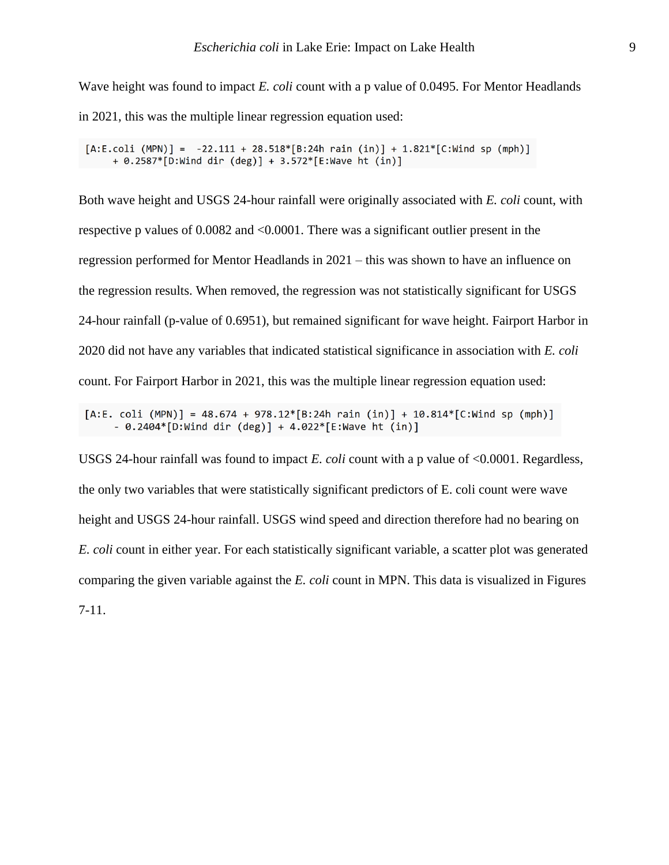Wave height was found to impact *E. coli* count with a p value of 0.0495. For Mentor Headlands in 2021, this was the multiple linear regression equation used:

 $[A.E. coli (MPN)] = -22.111 + 28.518*[B:24h rain (in)] + 1.821*[C: Wind sp (mph)]$ + 0.2587\*[D:Wind dir (deg)] + 3.572\*[E:Wave ht (in)]

Both wave height and USGS 24-hour rainfall were originally associated with *E. coli* count, with respective p values of 0.0082 and <0.0001. There was a significant outlier present in the regression performed for Mentor Headlands in 2021 – this was shown to have an influence on the regression results. When removed, the regression was not statistically significant for USGS 24-hour rainfall (p-value of 0.6951), but remained significant for wave height. Fairport Harbor in 2020 did not have any variables that indicated statistical significance in association with *E. coli* count. For Fairport Harbor in 2021, this was the multiple linear regression equation used:

 $[A.E. coli (MPN)] = 48.674 + 978.12*[B:24h rain (in)] + 10.814*[C:Wind sp (mph)]$ - 0.2404\*[D:Wind dir (deg)] + 4.022\*[E:Wave ht (in)]

USGS 24-hour rainfall was found to impact *E. coli* count with a p value of <0.0001. Regardless, the only two variables that were statistically significant predictors of E. coli count were wave height and USGS 24-hour rainfall. USGS wind speed and direction therefore had no bearing on *E. coli* count in either year. For each statistically significant variable, a scatter plot was generated comparing the given variable against the *E. coli* count in MPN. This data is visualized in Figures 7-11.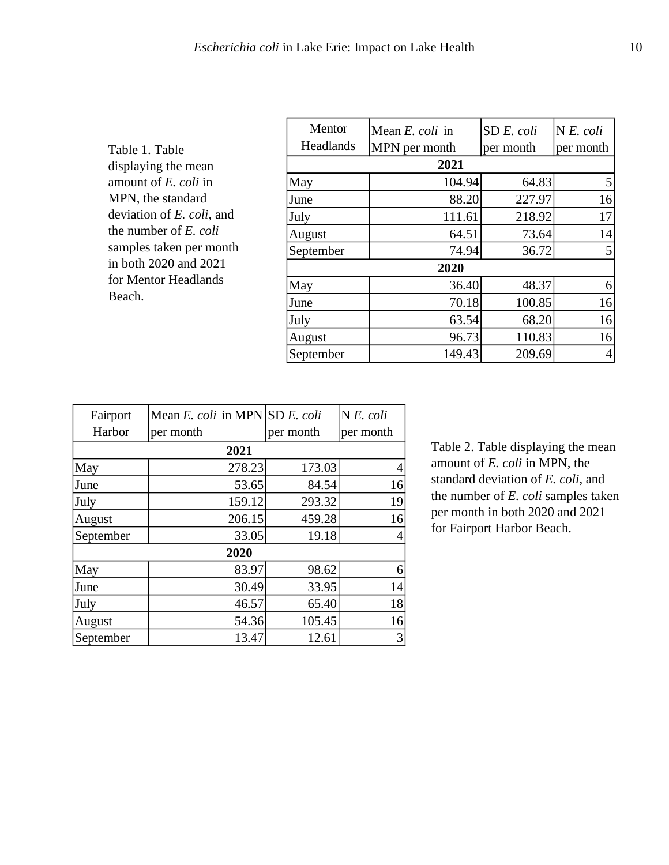| Table 1. Table            |
|---------------------------|
| displaying the mean       |
| amount of E. coli in      |
| MPN, the standard         |
| deviation of E. coli, and |
| the number of E. coli     |
| samples taken per month   |
| in both 2020 and 2021     |
| for Mentor Headlands      |
| Beach.                    |

| Mean E. coli in | SD E. coli | N E. coli       |  |  |  |  |
|-----------------|------------|-----------------|--|--|--|--|
| MPN per month   | per month  | per month       |  |  |  |  |
| 2021            |            |                 |  |  |  |  |
| 104.94          | 64.83      | 5               |  |  |  |  |
| 88.20           | 227.97     | 16              |  |  |  |  |
| 111.61          | 218.92     | 17              |  |  |  |  |
| 64.51           | 73.64      | 14              |  |  |  |  |
| 74.94           | 36.72      | $\vert 5 \vert$ |  |  |  |  |
| 2020            |            |                 |  |  |  |  |
| 36.40           | 48.37      | 6               |  |  |  |  |
| 70.18           | 100.85     | 16              |  |  |  |  |
| 63.54           | 68.20      | 16              |  |  |  |  |
| 96.73           | 110.83     | 16              |  |  |  |  |
| 149.43          | 209.69     | 4               |  |  |  |  |
|                 |            |                 |  |  |  |  |

| Fairport  | Mean E. coli in MPN SD E. coli |           | $N E$ . coli   |  |  |
|-----------|--------------------------------|-----------|----------------|--|--|
| Harbor    | per month                      | per month | per month      |  |  |
| 2021      |                                |           |                |  |  |
| May       | 278.23                         | 173.03    | 4              |  |  |
| June      | 53.65                          | 84.54     | 16             |  |  |
| July      | 159.12                         | 293.32    | 19             |  |  |
| August    | 206.15                         | 459.28    | 16             |  |  |
| September | 33.05                          | 19.18     | $\overline{4}$ |  |  |
| 2020      |                                |           |                |  |  |
| May       | 83.97                          | 98.62     | 6              |  |  |
| June      | 30.49                          | 33.95     | 14             |  |  |
| July      | 46.57                          | 65.40     | 18             |  |  |
| August    | 54.36                          | 105.45    | 16             |  |  |
| September | 13.47                          | 12.61     | 3              |  |  |

Table 2. Table displaying the mean amount of *E. coli* in MPN, the standard deviation of *E. coli*, and the number of *E. coli* samples taken per month in both 2020 and 2021 for Fairport Harbor Beach.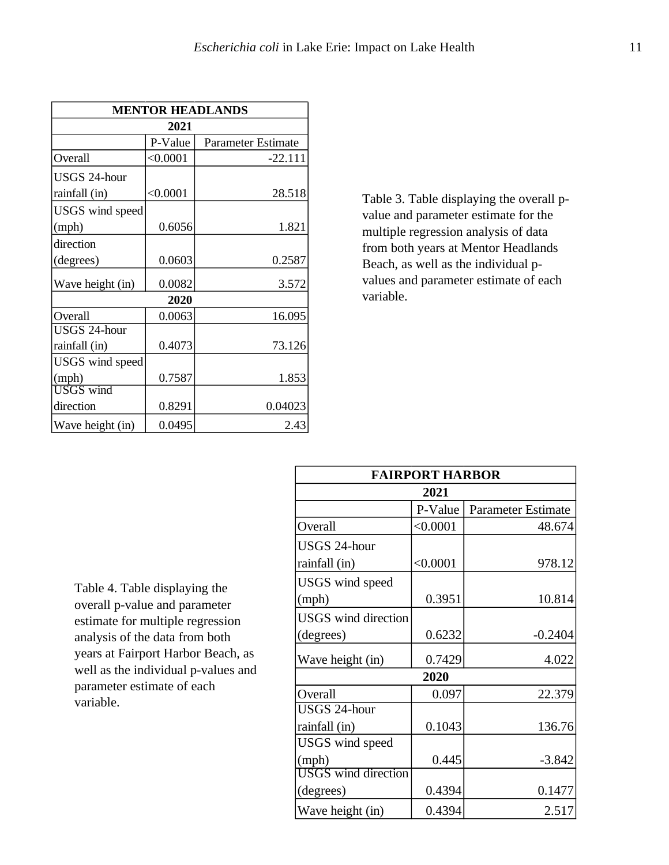| <b>MENTOR HEADLANDS</b> |          |                           |  |  |  |  |
|-------------------------|----------|---------------------------|--|--|--|--|
| 2021                    |          |                           |  |  |  |  |
|                         | P-Value  | <b>Parameter Estimate</b> |  |  |  |  |
| Overall                 | < 0.0001 | $-22.111$                 |  |  |  |  |
| <b>USGS 24-hour</b>     |          |                           |  |  |  |  |
| rainfall (in)           | < 0.0001 | 28.518                    |  |  |  |  |
| USGS wind speed         |          |                           |  |  |  |  |
| (mph)                   | 0.6056   | 1.821                     |  |  |  |  |
| direction               |          |                           |  |  |  |  |
| (degrees)               | 0.0603   | 0.2587                    |  |  |  |  |
| Wave height (in)        | 0.0082   | 3.572                     |  |  |  |  |
| 2020                    |          |                           |  |  |  |  |
| Overall                 | 0.0063   | 16.095                    |  |  |  |  |
| <b>USGS 24-hour</b>     |          |                           |  |  |  |  |
| rainfall (in)           | 0.4073   | 73.126                    |  |  |  |  |
| USGS wind speed         |          |                           |  |  |  |  |
| (mph)                   | 0.7587   | 1.853                     |  |  |  |  |
| <b>USGS</b> wind        |          |                           |  |  |  |  |
| direction               | 0.8291   | 0.04023                   |  |  |  |  |
| Wave height (in)        | 0.0495   | 2.43                      |  |  |  |  |

Table 3. Table displaying the overall pvalue and parameter estimate for the multiple regression analysis of data from both years at Mentor Headlands Beach, as well as the individual pvalues and parameter estimate of each variable.

Table 4. Table displaying the overall p-value and parameter estimate for multiple regression analysis of the data from both years at Fairport Harbor Beach, as well as the individual p-values and parameter estimate of each variable.

| <b>FAIRPORT HARBOR</b>     |          |                           |  |  |  |
|----------------------------|----------|---------------------------|--|--|--|
| 2021                       |          |                           |  |  |  |
|                            | P-Value  | <b>Parameter Estimate</b> |  |  |  |
| Overall                    | < 0.0001 | 48.674                    |  |  |  |
| <b>USGS 24-hour</b>        |          |                           |  |  |  |
| rainfall (in)              | < 0.0001 | 978.12                    |  |  |  |
| USGS wind speed            |          |                           |  |  |  |
| (mph)                      | 0.3951   | 10.814                    |  |  |  |
| <b>USGS</b> wind direction |          |                           |  |  |  |
| (degrees)                  | 0.6232   | $-0.2404$                 |  |  |  |
| Wave height (in)           | 0.7429   | 4.022                     |  |  |  |
|                            | 2020     |                           |  |  |  |
| Overall                    | 0.097    | 22.379                    |  |  |  |
| USGS 24-hour               |          |                           |  |  |  |
| rainfall (in)              | 0.1043   | 136.76                    |  |  |  |
| USGS wind speed            |          |                           |  |  |  |
| (mph)                      | 0.445    | $-3.842$                  |  |  |  |
| <b>USGS</b> wind direction |          |                           |  |  |  |
| (degrees)                  | 0.4394   | 0.1477                    |  |  |  |
| Wave height (in)           | 0.4394   | 2.517                     |  |  |  |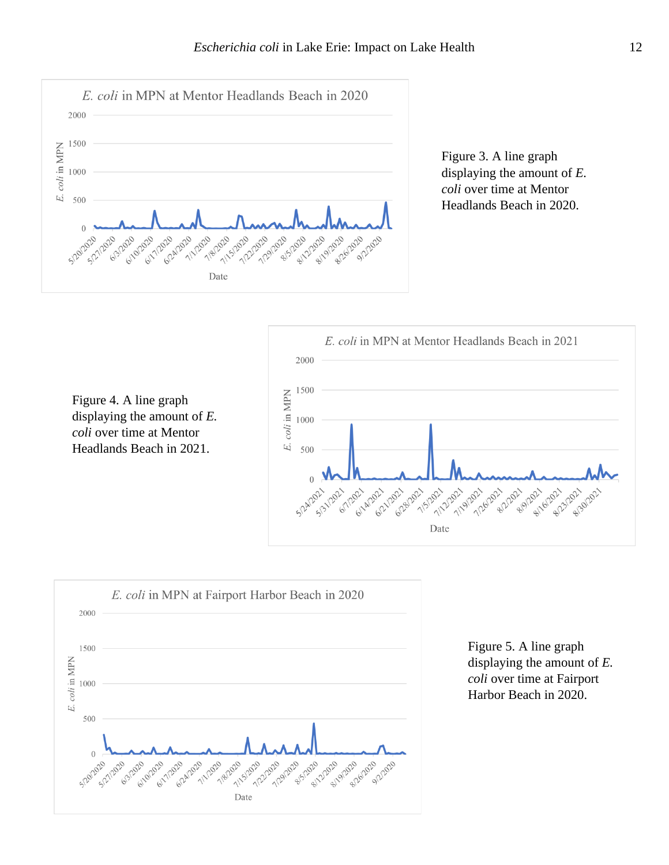

Figure 3. A line graph displaying the amount of *E. coli* over time at Mentor Headlands Beach in 2020.

1500 E. coli in MPN Figure 4. A line graph displaying the amount of *E.*  1000 *coli* over time at Mentor Headlands Beach in 2021. 500





Figure 5. A line graph displaying the amount of *E. coli* over time at Fairport Harbor Beach in 2020.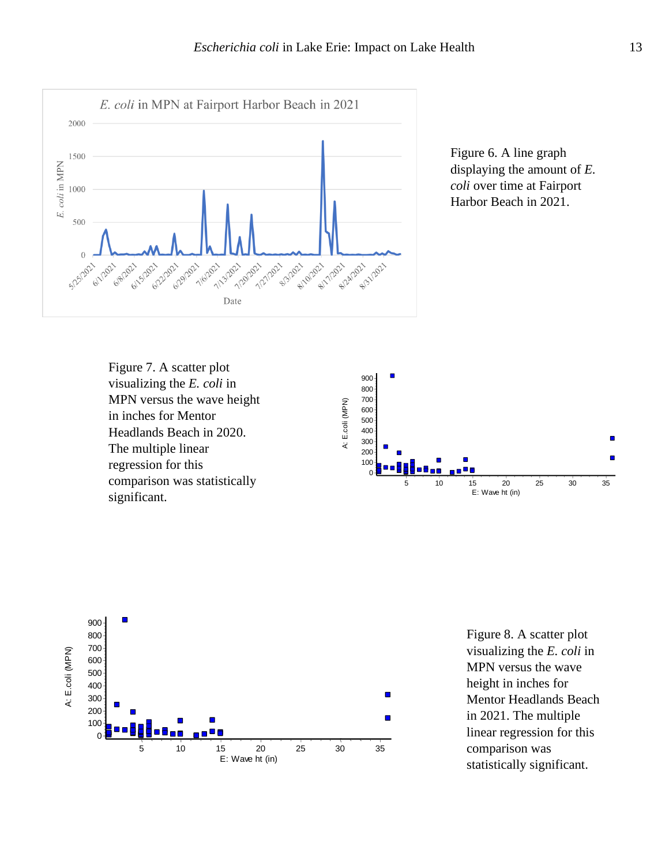









Figure 8. A scatter plot visualizing the *E. coli* in MPN versus the wave height in inches for Mentor Headlands Beach in 2021. The multiple linear regression for this comparison was statistically significant.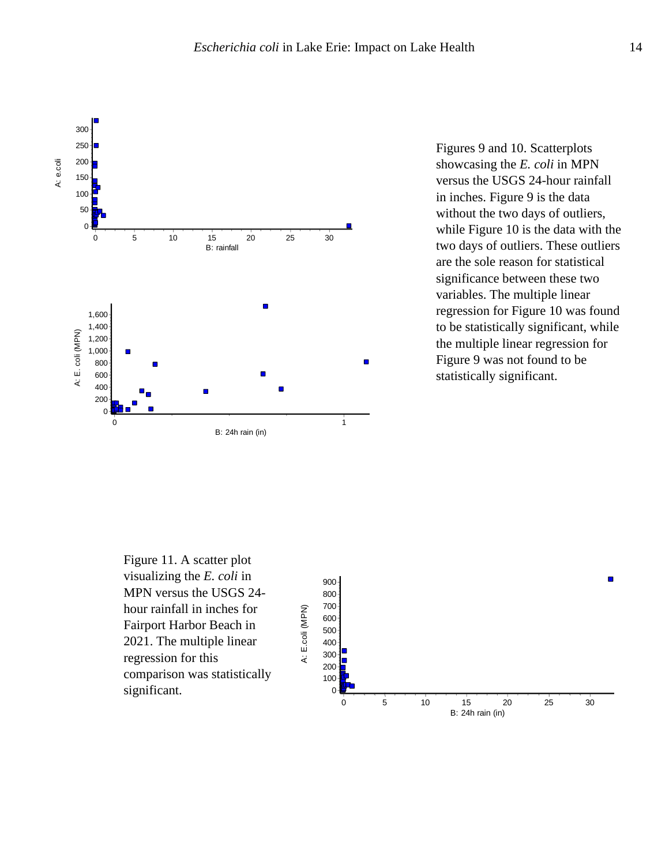

Figures 9 and 10. Scatterplots showcasing the *E. coli* in MPN versus the USGS 24-hour rainfall in inches. Figure 9 is the data without the two days of outliers, while Figure 10 is the data with the two days of outliers. These outliers are the sole reason for statistical significance between these two variables. The multiple linear regression for Figure 10 was found to be statistically significant, while the multiple linear regression for Figure 9 was not found to be statistically significant.

Figure 11. A scatter plot visualizing the *E. coli* in MPN versus the USGS 24 hour rainfall in inches for Fairport Harbor Beach in 2021. The multiple linear regression for this comparison was statistically significant.

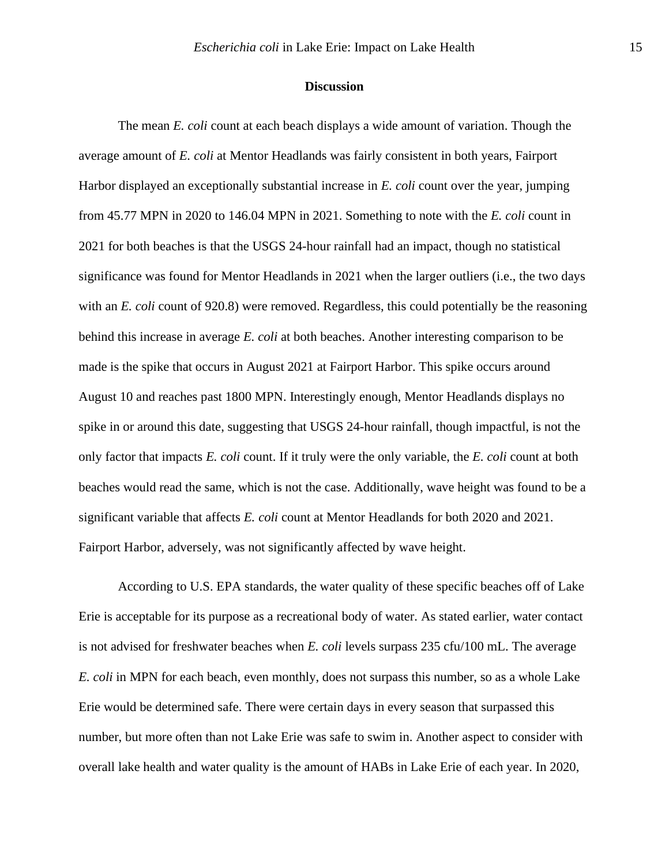#### **Discussion**

The mean *E. coli* count at each beach displays a wide amount of variation. Though the average amount of *E. coli* at Mentor Headlands was fairly consistent in both years, Fairport Harbor displayed an exceptionally substantial increase in *E. coli* count over the year, jumping from 45.77 MPN in 2020 to 146.04 MPN in 2021. Something to note with the *E. coli* count in 2021 for both beaches is that the USGS 24-hour rainfall had an impact, though no statistical significance was found for Mentor Headlands in 2021 when the larger outliers (i.e., the two days with an *E. coli* count of 920.8) were removed. Regardless, this could potentially be the reasoning behind this increase in average *E. coli* at both beaches. Another interesting comparison to be made is the spike that occurs in August 2021 at Fairport Harbor. This spike occurs around August 10 and reaches past 1800 MPN. Interestingly enough, Mentor Headlands displays no spike in or around this date, suggesting that USGS 24-hour rainfall, though impactful, is not the only factor that impacts *E. coli* count. If it truly were the only variable, the *E. coli* count at both beaches would read the same, which is not the case. Additionally, wave height was found to be a significant variable that affects *E. coli* count at Mentor Headlands for both 2020 and 2021. Fairport Harbor, adversely, was not significantly affected by wave height.

According to U.S. EPA standards, the water quality of these specific beaches off of Lake Erie is acceptable for its purpose as a recreational body of water. As stated earlier, water contact is not advised for freshwater beaches when *E. coli* levels surpass 235 cfu/100 mL. The average *E. coli* in MPN for each beach, even monthly, does not surpass this number, so as a whole Lake Erie would be determined safe. There were certain days in every season that surpassed this number, but more often than not Lake Erie was safe to swim in. Another aspect to consider with overall lake health and water quality is the amount of HABs in Lake Erie of each year. In 2020,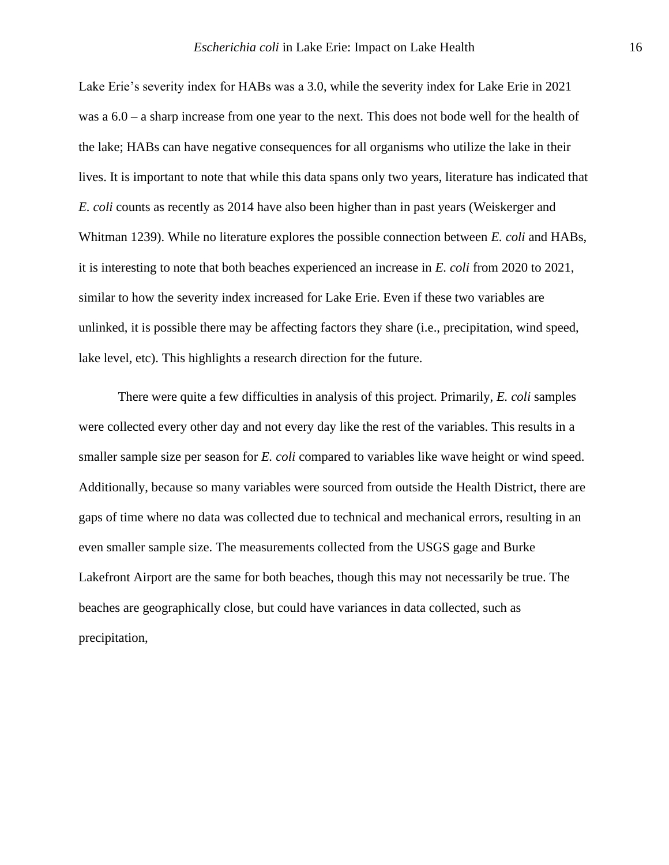Lake Erie's severity index for HABs was a 3.0, while the severity index for Lake Erie in 2021 was a 6.0 – a sharp increase from one year to the next. This does not bode well for the health of the lake; HABs can have negative consequences for all organisms who utilize the lake in their lives. It is important to note that while this data spans only two years, literature has indicated that *E. coli* counts as recently as 2014 have also been higher than in past years (Weiskerger and Whitman 1239). While no literature explores the possible connection between *E. coli* and HABs, it is interesting to note that both beaches experienced an increase in *E. coli* from 2020 to 2021, similar to how the severity index increased for Lake Erie. Even if these two variables are unlinked, it is possible there may be affecting factors they share (i.e., precipitation, wind speed, lake level, etc). This highlights a research direction for the future.

There were quite a few difficulties in analysis of this project. Primarily, *E. coli* samples were collected every other day and not every day like the rest of the variables. This results in a smaller sample size per season for *E. coli* compared to variables like wave height or wind speed. Additionally, because so many variables were sourced from outside the Health District, there are gaps of time where no data was collected due to technical and mechanical errors, resulting in an even smaller sample size. The measurements collected from the USGS gage and Burke Lakefront Airport are the same for both beaches, though this may not necessarily be true. The beaches are geographically close, but could have variances in data collected, such as precipitation,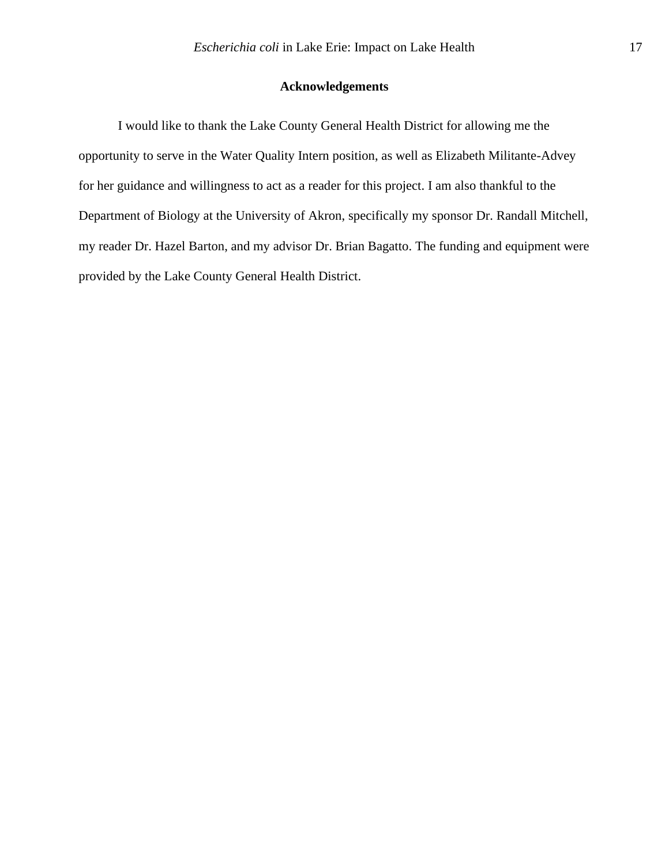### **Acknowledgements**

I would like to thank the Lake County General Health District for allowing me the opportunity to serve in the Water Quality Intern position, as well as Elizabeth Militante-Advey for her guidance and willingness to act as a reader for this project. I am also thankful to the Department of Biology at the University of Akron, specifically my sponsor Dr. Randall Mitchell, my reader Dr. Hazel Barton, and my advisor Dr. Brian Bagatto. The funding and equipment were provided by the Lake County General Health District.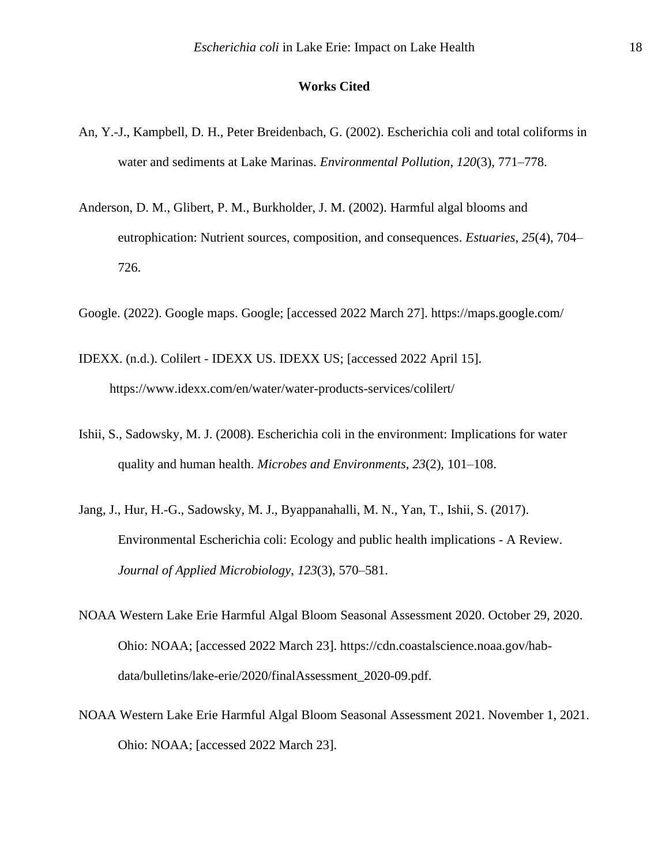#### **Works Cited**

- An, Y.-J., Kampbell, D. H., Peter Breidenbach, G. (2002). Escherichia coli and total coliforms in water and sediments at Lake Marinas. *Environmental Pollution*, *120*(3), 771–778.
- Anderson, D. M., Glibert, P. M., Burkholder, J. M. (2002). Harmful algal blooms and eutrophication: Nutrient sources, composition, and consequences. *Estuaries*, *25*(4), 704– 726.
- Google. (2022). Google maps. Google; [accessed 2022 March 27]. https://maps.google.com/
- IDEXX. (n.d.). Colilert IDEXX US. IDEXX US; [accessed 2022 April 15]. https://www.idexx.com/en/water/water-products-services/colilert/
- Ishii, S., Sadowsky, M. J. (2008). Escherichia coli in the environment: Implications for water quality and human health. *Microbes and Environments*, *23*(2), 101–108.
- Jang, J., Hur, H.-G., Sadowsky, M. J., Byappanahalli, M. N., Yan, T., Ishii, S. (2017). Environmental Escherichia coli: Ecology and public health implications - A Review. *Journal of Applied Microbiology*, *123*(3), 570–581.
- NOAA Western Lake Erie Harmful Algal Bloom Seasonal Assessment 2020. October 29, 2020. Ohio: NOAA; [accessed 2022 March 23]. https://cdn.coastalscience.noaa.gov/habdata/bulletins/lake-erie/2020/finalAssessment\_2020-09.pdf.
- NOAA Western Lake Erie Harmful Algal Bloom Seasonal Assessment 2021. November 1, 2021. Ohio: NOAA; [accessed 2022 March 23].